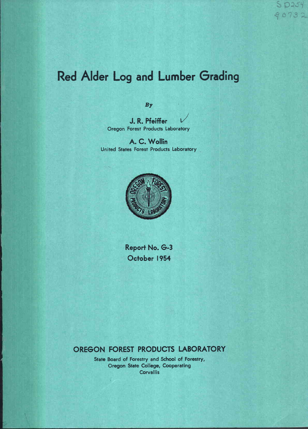# Red Alder Log and Lumber Grading

By

J. R. Pfeiffer Oregon Forest Products Laboratory

A. C. Wollin United States Forest Products Laboratory



Report No. G-3 October 1954

# OREGON FOREST PRODUCTS LABORATORY

State Board of Forestry and School of Forestry, Oregon State College, Cooperating **Corvallis**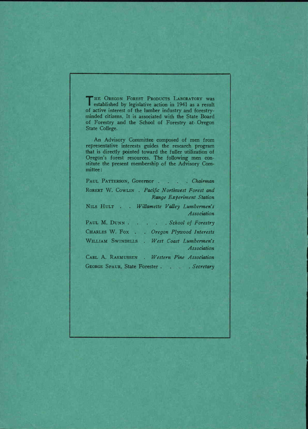I established by legislative action in 1941 as a result THE OREGON FOREST PRODUCTS LABORATORY WAS of active interest of the lumber industry and forestryminded citizens. It is associated with the State Board of Forestry and the School of Forestry at- Oregon State College.

An Advisory Committee composed of men from representative interests guides the research program that is directly pointed toward the fuller utilization of Oregon's forest resources. The following men constitute the present membership of the Advisory Committee:

PAUL PATTERSON, Governor. Chairman RORERT W. COWLIN . Pacific Northwest Forest and Range Experiment Station NILS HULT . Wilamette Valley Lumbermen's Association PAUL M. DUNN . . . . School of Forestry CHARLES W. Fox . . Oregon Plywood Interests WILLIAM SWINDELLS . West Coast Lumbermen's Association CARL A. RASMUSSEN . Western Pine Association GEORGE SPAUR, State Forester . . . . Secretary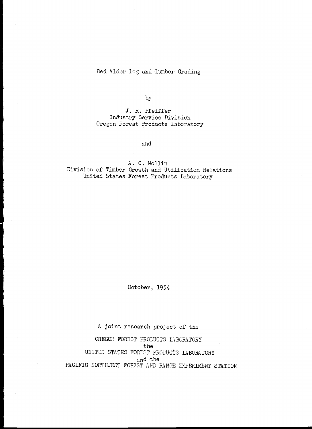### Red Alder Log and Lumber Grading

by

J.. R. Pfeiffer Industry Service Division Oregon Forest Products Laboratory

and

A. C. Wollin Division of Timber Growth and Utilization Reiation United States Forest Products Laboratory

October, 1954

A joint research project of the

OREGON FOREST PRODUCTS LABORATORY the UNITED STATES FOREST PRODUCTS LABORATORY and the PACIFIC NORTHWEST FOREST AND RANGE EXPERIMENT STATION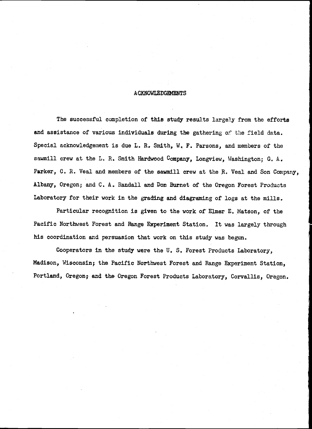#### **ACKNOWLEDGEMENTS**

The successful completion of this study results largely from the efforts and assistance of various individuals during the gathering of the field data. Special acknowledgement is due L. R. Smith, W. F. Parsons, and members of the sawmill crew at the L. R. Smith Hardwood Company, Longview, Washington; G. A. Parker, C. R. Veal and members of the sawmill crew at the R. Veal and Son Company, Albany, Oregon; and C. A. Randall and Don Burnet of the Oregon Forest Products Laboratory for their work in the grading and diagraming of logs at the mills,

Particular recognition is given to the work of Elmer E. Matson, of the Pacific Northwest Forest and Range Experiment Station. It was largely through his coordination and persuasion that work on this study was begun.

Cooperators in the study were the U. S. Forest Products Laboratory, Madison, Wisconsin; the Pacific Northwest Forest and Range Experiment Station, Portland, Oregon; and the Oregon Forest Products Laboratory, Corvallis, Oregon.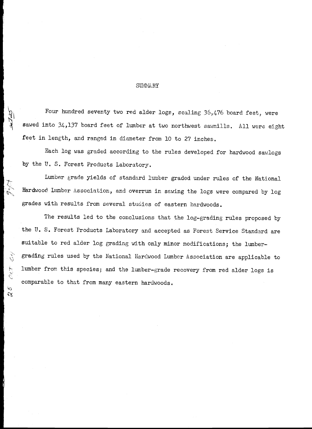#### SUMMARY

Four hundred seventy two red alder logs, scaling 36,476 board feet, were sawed into 34,137 board feet of lumber at two northwest sawmills. All were eight feet in length, and ranged in diameter from 10 to 27 inches,

Each log was graded according to the rules developed for hardwood sawlogs by the U.S. Forest Products Laboratory.

Lumber grade yields of standard lumber graded under rules of the National Hardwood Lumber Association, and overrun in sawing the logs were compared by log grades with results from several studies of eastern hardwoods.

The results led to the conclusions that the log-grading rules proposed by the U. S. Forest Products Laboratory and accepted as Forest Service Standard are suitable to red alder log grading with only minor modifications; the lumbergrading rules used by the National Hardwood Lumber Association are applicable to lumber from this species; and the lumber-grade recovery from red alder logs is comparable to that from many eastern hardwoods,

 $\zeta$ 

 $\mathcal{O}\ell\mathcal{T}^*$ 

kg.  $\alpha$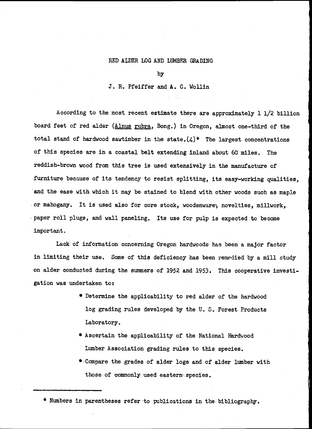#### RED ALDER LOG AND LUMBER GRADING

by

J. R. Pfeiffer and A. C. Wollin

According to the most recent estimate there are approximately 1 1/2 billion board feet of red alder (Alnus rubra, Bong.) in Oregon, almost one-third of the total stand of hardwood sawtimber in the state. $(4)$ \* The largest concentrations of this species are in a coastal belt extending inland about 60 miles. The reddish-brown wood from this tree is used extensively in the manufacture of furniture because of its tendency to resist splitting, its easy-working qualities, and the ease with which it may be stained to blend with other woods such as maple or mahogany. It is used also for core stock, woodenware; novelties, millwork, paper roll plugs, and wall paneling. Its use for pulp is expected to become important.

Lack of information concerning Oregon hardwoods has been a major factor in limiting their use. Some of this deficiency has been remedied by a mill study on alder conducted during the summers of 1952 and 1953. This cooperative investigation was undertaken to:

- Determine the applicability to red alder of the hardwood log grading rules developed by the U. S. Forest Products Laboratory.
- \* Ascertain the applicability of the National Hardwood Lumber Association grading rules to this species.
- Ccimpare. the grades of alder logs and of alder lumber with those of commonly used eastern- species.

' Numbers in parentheses refer to publications in the. bibliography.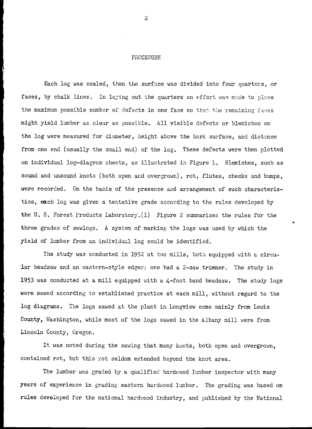#### PROCEDURE

Each log was scaled, then the surface was divided into four quarters, or faces, by chalk lines. In laying out the quarters an effort was made to place the maximum possible number of defects in one face so that the remaining faces might yield lumber as clear as possible. All visible defects or blemishes on the log were measured for diameter, height above the bark surface, and distance from one end (usually the small end) of the log, These defects were then plotted on individual log-diagram sheets, as illustrated in Figure 1. Blemishes, such as sound and unsound knots (both open and overgrown), rot, flutes, checks and bumps, were recorded. On the basis of the presence and arrangement of such characteristics, each log was given a tentative grade according to the rules developed by the U. S. Forest Products Laboratory.(l) Figure 2 summarizes the rules for the three grades of sawlogs. A system of marking the logs was used by which the yield of lumber from an individual log could be identified.

The study was conducted in 1952 at two mills, both equipped with a circular headsaw and an eastern-style edger; one had a 2-saw trimmer. The study in 1953 was conducted at a mill equipped with a  $\mu$ -foot band headsaw. The study logs were sawed according to established practice at each mill, without regard to the log diagrams, The logs sawed at the plant in Longview came mainly from Lewis County, Washington, while most of the logs sawed in the Albany mill were from Lincoln County, Oregon.

It was noted during the sawing that many knots, both open and overgrown, contained rot, bit this rot seldom extended beyond the knot area.

The lumber was graded by a qualified hardwood lumber inspector with many years of experience in grading eastern hardwood lumber, The grading was based on rules developed for the national hardwood industry, and published by the National

2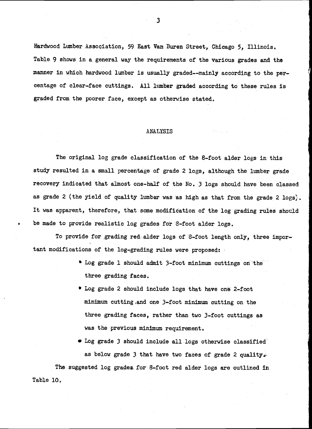Hardwood Lumber Association, 59 East Van Buren Street, Chicago 5, Illinois, Table 9 shows In a general way the requirements of the various grades and the manner in which hardwood lumber is usually graded--mainly according to the percentage of clear-face cuttings. All lumber graded according to these rules is graded from the poorer face, except as otherwise stated

#### ANALYSIS

The original log grade classification of the 8-foot alder logs in this study resulted in a small percentage of grade 2 logs, although the lumber grade recovery indicated that almost one-half of the No. 3 logs should have been classed as grade 2 (the yield of quality lumber was as high as that from the grade 2 logs). It was apparent, therefore, that some modification of the log grading rules should be made to provide realistic log grades for 8-foot alder logs.

To provide for grading red: alder logs of 8-foot length only, three important modifications of the log-grading rules were proposed:

- Log grade 1 should admit 3-foot minimum cuttings on the three grading faces.
- \* Log grade 2 should include logs that have one 2-foot minimum cutting and one 3-foot minimum cutting on the three grading faces, rather than two 3-foot cuttings as was the previous minimum requirement.
- $\bullet$  Log grade 3 should include all logs otherwise classified as below grade 3 that have two faces of grade 2 quality. The suggested log grades for 8-foot red alder logs are outlined in

Table 10.

3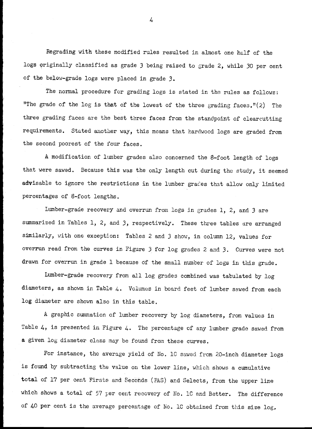Regrading with these modified rules resulted in almost one half of the logs originally classified as grade 3 being raised to grade 2, while 30 per cent of the below-grade logs were placed in grade 3.

The normal procedure for grading logs is stated in the rules as follows: "The grade of the log is that of the lowest of the three grading faces."(2) The three grading faces are the best three faces from the standpoint of clearcutting requirements. Stated another way, this means that hardwood logs are graded from the second poorest of the four faces.

A modification of lumber grades also concerned the 8-foot length of logs that were sawed. Because this was the only length cut during the study, it seemed advisable to ignore the restrictions in the lumber grades that allow only limited percentages of 8-foot lengths.

Lumber-grade recovery and overrun from logs in grades 1, 2, and 3 are summarized in Tables 1, 2, and 3, respectively. These three tables are arranged similarly, with one exception: Tables 2 and 3 show, in column 12, values for overrun read from the curves in Figure 3 for log grades 2 and 3. Curves were not drawn for overrun in grade 1 because of the small number of logs in this grade.

Lumber-grade recovery from all log grades combined was tabulated by log diameters, as shown in Table 4. Volumes in board feet of lumber sawed from each log diameter are shown also in this table,

A graphic summation of lumber recovery by log diameters, from values in Table  $4$ , is presented in Figure  $4$ . The percentage of any lumber grade sawed from a given log diameter class may be found from these curves.

For instance, the average yield of No, 10 sawed from 20-inch diameter logs is found by subtracting the value on the lower line, which shows a cumulative total of 17 per cent Firsts and Seconds (FAS) and Selects, from the upper line which shows a total of 57 per cent recovery of No. 10 and Better. The difference of 40 per cent is the average percentage of No, 10 obtained from this size log,

 $4<sub>+</sub>$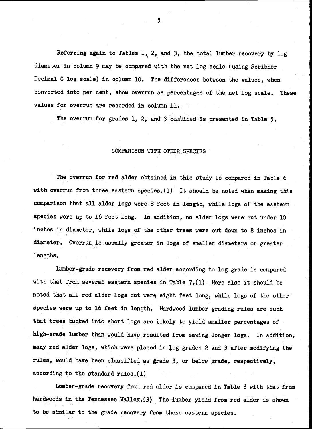Referring again to Tables 1, 2, and 3, the total lumber recovery by log diameter in column 9 may be compared with the net log scale (using Soribner Decimal C log scale) in column 10. The differences between the values, when converted into per cent, show overrun as percentages of the net log scale. These values for overrun are recorded in column 11.

The overrun for grades 1, 2, and 3 combined is presented in Table 5.

#### COMPARISON WITH OTHER SPECIES

The overrun for red alder obtained in this study is compared in Table 6 with overrun from three eastern species.(l) It should be noted when making this comparison that all alder logs were 8 feet in length, while, logs of the eastern species were up to 16 feet long. In addition, no alder logs were cut under 10 inches in diameter, while logs, of the other trees were cut down to 8 inches in diameter. Overrun is usually greater in logs of smaller diameters or greater lengths.

I,umber-grade recovery from red alder according to log grade is compared with that from several eastern species in Table  $7.(1)$ . Here also it should be noted that all red alder logs cut were eight feet long, while logs of the other species were up to 16 feet in length. Hardwood lumber grading rules are such that trees bucked into short logs are likely to yield smaller percentages of high-grade lumber than would have resulted from sawing longer logs. In addition, many red alder logs, which were placed in log grades 2 and 3 after modifying the rules, would have been classified as grade 3, or below grade, respectively, according to the standard ruies.(l)

Lumber-grade recovery from red alder is compared in Table 8 with that 'from hardwoods in the Tennessee Valley.(3) The lumber yield from red alder is shown to be similar to the grade recovery from these eastern species.

5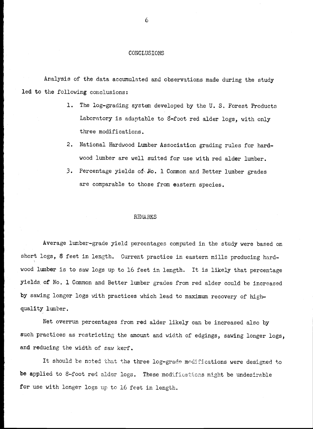#### CONCLUSIONS

Aralysis of the data accumulated and observations made during the study led to the following conclusions;

- 1. The log-grading system developed by the U.S. Forest Products Laboratory is adaptable to  $8$ -foot red alder logs, with only three modifications.
- $2.$ National Hardwood Lumber Association grading rules for hardwood lumber are well suited for use with red alder lumber.
- 3. Percentage yields of No. 1 Common and Better lumber grades are comparable to those from eastern species,

#### **REMARKS**

Average lumber-grade yield percentages computed in the study were based on short logs, 8 feet in length. Current practice in eastern mills producing hardwood lumber is to saw logs up to 16 feet in length. It is likely that percentage yields, of No. 1 Common and Better lumber grades from red alder could be increased by sawing longer logs with practices which lead to maximum recovery of highquality lumber,

Net overrun percentages from red alder likely can be increased also by such practices as restricting the amount and width of edgings, sawing longer logs, and reducing the width of saw kerf.

It should be noted that the three log-grade modifications were designed to be applied to 8-foot red alder logs. These modifications might be undesirable for use with longer logs up to 16 feet in length.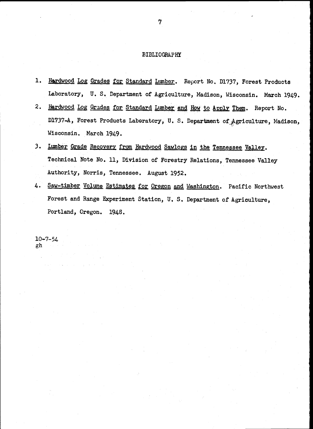#### BIBLIOGRAPHY

- 1. Hardwood Log Grades for Standard Lumber. Report No. D1737, Forest Products Laboratory, U. S. Department of Agriculture, Madison, Wisconsin. March 1949.
- 2. Hardwood Log Grades for Standard Lumber and How to Apply Them. Report No. D1737-A, Forest Products Laboratory, U. S. Department of Agriculture, Madison, Wisconsin. March 1949.
- 3. Lumber Grade Recovery from Hardwood Sawlogs in the Tennessee Valley. Technical Note No. 11, Division of Forestry Relations, Tennessee Valley Authority, Norris, Tennessee. August 1952.
- 4. Saw-timber Volume Estimates for Oregon and Washington. Pacific Northwest Forest and Range Experiment Station, U. S. Department of Agriculture, Portland, Oregon. 1948.

 $10 - 7 - 54$ gh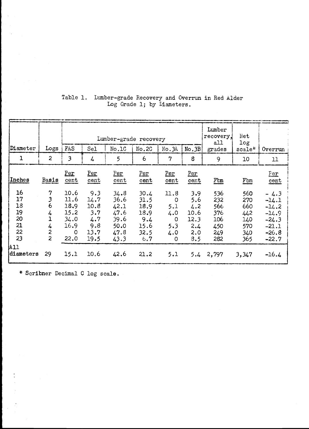|                  |                              |              |             | Lumber-grade recovery |              | Lumber<br>recovery,<br>a11 | Net<br>log  |            |            |                    |
|------------------|------------------------------|--------------|-------------|-----------------------|--------------|----------------------------|-------------|------------|------------|--------------------|
| Diameter         | Logs                         | FAS          | Sel         | No.1C                 | No.2C        | No.3A                      | No.3B       | grades     | scale*     | Overrun            |
|                  | $\overline{c}$               | 3            | 4           | 5                     | 6            | 7                          | 8           | 9          | 10         | 11                 |
| Inches           | Basis                        | Per<br>cent  | Per<br>cent | Per<br>cent           | Per<br>cent  | Per<br>cent                | Per<br>cent | $F$ $m$    | $F$ bm     | Per<br>cent        |
| 16<br>17         | 7<br>3                       | 10.6<br>11.6 | 9.3<br>14.7 | 34.8<br>36.6          | 30.4<br>31.5 | 11.8<br>$\circ$            | 3.9<br>5.6  | 536<br>232 | 560<br>270 | $-4.3$<br>$-14.1$  |
| 18<br>19         | 6                            | 18.9<br>15.2 | 10.8<br>3.7 | 42.1<br>47.6          | 18.9<br>18.9 | 5.1                        | 4.2<br>10.6 | 566        | 660        | $-14.2$            |
| 20               | 4                            | 34.0         | 4.7         | 39.6                  | 9.4          | 4.0<br>$\circ$             | 12.3        | 376<br>106 | 442<br>140 | $-14.9$<br>$-24.3$ |
| 21<br>22         | 4<br>$\overline{\mathbf{c}}$ | 16.9<br>0    | 9.8<br>13.7 | 50.0<br>47.8          | 15.6<br>32.5 | 5.3<br>4.0                 | 2.4<br>2,0  | 450<br>249 | 570<br>340 | $-21.1$<br>$-26.8$ |
| 23               | $\overline{c}$               | 22.0         | 19.5        | 43.3                  | 6, 7         | $\circ$                    | 8.5         | 282        | 365        | $-22.7$            |
| A11<br>diameters | 29                           | 15.1         | 10.6        | 42.6                  | 21.2         | 5.1                        | 5.4         | 2,797      | 3,347      | $-16.4$            |

# Table 1. Lumber-grade Recovery and Overrun in Red Alder Log Grade 1; by Diameters.

\* Seribner Decimal C log scale.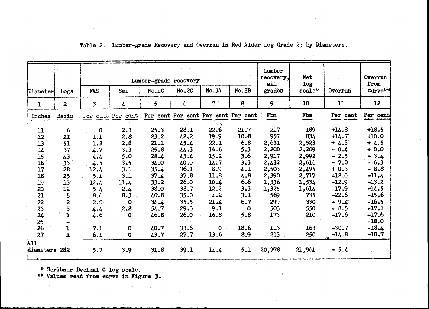|               |                |                         |                                                       | Lumber-grade recovery |          | Lumber<br>recovery,<br>a11 | Net<br>log    |        | Overrun<br>from |          |                    |
|---------------|----------------|-------------------------|-------------------------------------------------------|-----------------------|----------|----------------------------|---------------|--------|-----------------|----------|--------------------|
| Diameter      | Logs           | FAS                     | Sel                                                   | No.1C                 | No.2C    | No.3A                      | No.3B         | grades | scale*          | Overrun  | curve**            |
| $\mathbf{1}$  | 2 <sup>1</sup> | $\overline{\mathbf{3}}$ | $\frac{1}{2}$                                         | 5                     | 6        | $\mathbf{7}$               | 8             | 9      | 10              | 11       | 12                 |
| Inches        | Basis          |                         | Per cent Per cent Per cent Per cent Per cent Per cent |                       |          |                            |               | Fbm    | Fbm             | Per cent | Per cent           |
| 11            | $\epsilon$     | $\mathbf 0$             | 2.3                                                   | 25.3                  | 28.1     | 22.6                       | 21.7          | 217    | 189             | $+14.8$  | $+18,5$            |
| 12            | 21             | 1.1                     | 2.8                                                   | 23.2                  | $42 - 2$ | 19.9                       | 10.8          | 957    | 834             | $+14.7$  | $+10.0$            |
| 13            | 51             | 1.8                     | 2.8                                                   | 21.1                  | 45.4     | 22.1                       | 6, 8          | 2,631  | 2,523           | $+4.3$   | $+4.5$             |
| $\mathbf{L}$  | 37             | 4.7                     | 3.3                                                   | 25.8                  | 44.3     | 16.6                       | 5.3           | 2,200  | 2,209           | $-0.4$   | $+0.0$             |
| 15            | 43             | 4.4                     | 5.0                                                   | 28.4                  | 43.4     | 15.2                       | 3.6           | 2,917  | 2,992           | $-2.5$   | $-3.4$             |
| 16            | 33             | 4.5                     | 3.5                                                   | 34.0                  | 40.0     | 14:7                       | $3.3^{\circ}$ | 2,432  | 2,616           | $-7.0$   | $-6.3$             |
| 17            | 28             | 12.4                    | 3.1                                                   | 35.4                  | 36.1     | 8.9                        | 4.1           | 2,503  | 2,495           | $+0.3$   | $-8.8$             |
| 18            | 25             | 5.1                     | 3.1                                                   | 37.4                  | 37.8     | 11.8                       | 4.8           | 2,390  | 2,717           | $-12.0$  | $-11.4$            |
| 19            | 13             | 12.4                    | 11.4                                                  | 33.2                  | 26.0     | 10.4                       | 6.6           | 1,336  | 1,534           | $-12.9$  | $-13.2$            |
| 20            | 12             | 5.4                     | 2.4                                                   | 38.0                  | 38.7     | 12.2                       | 3.3           | 1,325  | 1,614           | $-17.9$  | $-14.5$            |
| 21            | 5              | 8.6                     | 8.3                                                   | 40.8                  | 35.0     | 4.2                        | 3.1           | 569    | 735             | $-22.6$  | $-15,6$            |
| 22            | 2              | 2.0                     | $\mathbf 0$                                           | 34.4                  | 35.5     | 21.4                       | 6.7           | 299    | 330             | $-9.4$   | $-16.5$            |
| 23            | 3              | 4.4                     | 2.8                                                   | 54.7                  | 29.0     | 9.1                        | $\mathbf{O}$  | 503    | 550             | $-8.5$   | $-17.1$            |
| 24<br>25      | 1              | 4.6                     | $\mathbf 0$                                           | 46.8                  | 26.0     | 16.8                       | 5.8           | 173    | 210             | $-17.6$  | $-17,6$<br>$-18.0$ |
| 26            | Ţ              | 7.1                     | $\mathbf O$                                           | 40.7                  | 33.6     | $\mathbf 0$                | 18.6          | 113    | 163             | $-30.7$  | $-18.4$            |
| 27            | $\mathbf 1$    | 6.1                     | $\mathbf 0$                                           | 43.7                  | 27.7     | 13.6                       | 8.9           | 213    | 250             | $-14.8$  | $-18.7$            |
| <b>All</b>    |                |                         |                                                       |                       |          |                            |               |        |                 |          |                    |
| diameters 282 |                | 5.7                     | 3.9                                                   | 31.8                  | 39.1     | 14.4                       | 5.1           | 20,778 | 21,961          | $-5.4$   |                    |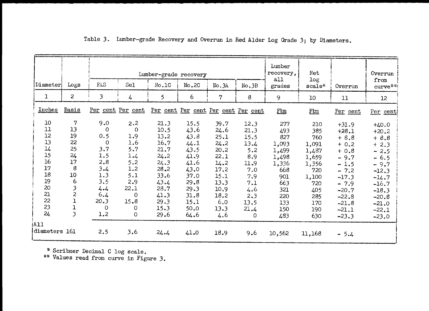|                  |                         |                |                   | Lumber-grade recovery | Lumber<br>recovery,<br>all | Net<br>log                          |          | Overrun<br>from |        |          |           |
|------------------|-------------------------|----------------|-------------------|-----------------------|----------------------------|-------------------------------------|----------|-----------------|--------|----------|-----------|
| $ $ Diameter $ $ | Logs                    | FAS            | Sel               | No.1C                 | No.2C                      | No.3A                               | No.3B    | grades          | scale* | Overrun  | $curve**$ |
| $\mathbf{I}$     | $\mathbf{2}$            | $\mathfrak{Z}$ | 4                 | 5                     | 6                          | $\overline{7}$                      | 8        | 9               | 10     | 11       | 12        |
| Inches           | <b>Basis</b>            |                | Per cent Per cent |                       |                            | Per cent Per cent Per cent Per cent |          | $F \text{Lm}$   | Ftm    | Per cent | Per cent  |
| 10 <sup>°</sup>  | $\mathbf 7$             | 9.0            | 2.2               | 21.3                  | 15.5                       | 39.7                                | 12.3     | 277             | 210    | $+31.9$  | $+40.0$   |
| 11               | 13                      | 0              | $\mathbf{O}$      | 10.5                  | 43.6                       | 24.6                                | 21.3     | 493             | 385    | $+28.1$  | $+20.2$   |
| 12               | 19                      | 0.5            | 1.9               | 13.2                  | 43.8                       | 25.1                                | 15.5     | 827             | 760    | $+8.8$   | $+8.8$    |
| 13               | 22                      | 0              | 1.6               | 16.7                  | 44.1                       | 24.2                                | 13.4     | 1,093           | 1,091  | $+ 0.2$  | $+2.3$    |
| 14               | 25                      | 3.7            | 5.7               | 21.7                  | 43.5                       | 20.2                                | 5.2      | 1,499           | 1,487  | $+0.8$   | $-2.5$    |
| 15               | 24                      | 1.5            | $1.4$             | 24.2                  | 41.9                       | 22.1                                | 8.9      | 1,498           | 1,659  | $-9.7$   | $-6.5$    |
| 16               | 17                      | 2.8            | 5.2               | 24.3                  | 41.6                       | 14.2                                | 11.9     | 1,336           | 1,356  | $-1.5$   | $-9.7$    |
| 17               | 8                       | 3.4            | 1,2               | 28.2                  | 43.0                       | 17.2                                | 7.0      | 668             | 720    | $-7.2$   | $-12.3$   |
| 18               | 10                      | 1.3            | 5.1               | 33.6                  | 37.0                       | 15.1                                | 7.9      | 901             | 1,100  | $-17.3$  | $-14.7$   |
| 19               | 6                       | 3.5            | 2.9               | 43.4                  | 29.8                       | 13.3                                | 7.1      | 663             | 720    | $-7.9$   | $-16.7$   |
| 20               | 3                       | 4.4            | 22.1              | 28.7                  | 29.3                       | 10.9                                | 4.6      | 321             | 405    | $-20.7$  | $-18.3$   |
| 21               | $\overline{c}$          | 6.4            | 0                 | 41.3                  | 31.8                       | 18.2                                | 2.3      | 220             | 285    | $-22.8$  | $-20.8$   |
| 22               | ı                       | 20.3           | 15.8              | 29.3                  | 15.1                       | 6.0                                 | 13.5     | 133             | 170    | $-21.8$  | $-21.0$   |
| 23               | $\mathbf{1}$            | $\Omega$       | 0                 | 15.3                  | 50.0                       | 13.3                                | 21.4     | 150             | 190    | $-21.1$  | $-22.1$   |
| 24               | $\overline{\mathbf{3}}$ | 1.2            | $\overline{O}$    | 29.6                  | 64.6                       | 4.6                                 | $\Omega$ | 483             | 630    | $-23.3$  | $-23.0$   |
| A11              |                         |                |                   |                       |                            |                                     |          |                 |        |          |           |
| diameters 161    |                         | 2.5            | 3.6               | 24.4                  | 41.0                       | 18.9                                | 9.6      | 10,562          | 11,168 | $-5.4$   |           |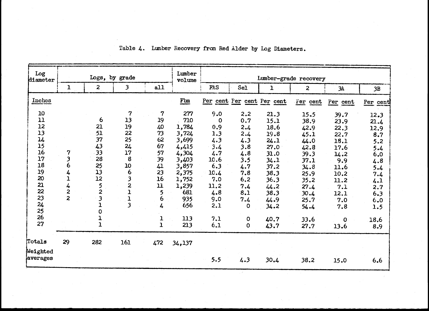| Log<br>diameter          |                |                         | Logs, by grade          |               | Lumber<br>volume | Lumber-grade recovery |                            |              |                |             |          |  |
|--------------------------|----------------|-------------------------|-------------------------|---------------|------------------|-----------------------|----------------------------|--------------|----------------|-------------|----------|--|
|                          | $\mathbf{1}$   | $\overline{2}$          | $\mathbf{3}$            | a11           |                  | FAS                   | Sel                        | $\mathbf{1}$ | $\overline{2}$ | 3A          | 3B       |  |
| Inches                   |                |                         |                         |               | $F \text{bm}$    |                       | Per cent Per cent Per cent |              | Fer cent       | Per cent    | Per cent |  |
| 10                       |                |                         | 7                       | 7             | 277              | 9.0                   | 2.2                        | 21.3         | 15.5           | 39.7        | 12.3     |  |
| 11                       |                | $\overline{6}$          | 13                      | 19            | 710              | 0                     | 0.7                        | 15.1         | 38.9           | 23.9        | 21.4     |  |
| 12                       |                | 21                      | 19                      | 40            | 1,784            | 0.9                   | 2.4                        | 18.6         | 42.9           | 22.3        | 12.9     |  |
| 13                       |                | 51                      | 22                      | 73            | 3,724            | 1.3                   | 2.4                        | 19.8         | 45.1           | 22.7        | 8.7      |  |
| $\overline{\mathbf{14}}$ |                | 37                      | 25 <sub>1</sub>         | 62            | 3,699            | 4.3                   | 4.3                        | 24.1         | 44.0           | 18.1        | 5.2      |  |
| 15                       |                | 43                      | 24                      | 67            | 4,415            | 3.4                   | 3.8                        | 27.0         | 42.8           | 17.6        | 5.4      |  |
| 16                       | 7              | 33                      | 17                      | 57            | 4,304            | 4.7                   | 4.8                        | 31.0         | 39.3           | 14.2        | 6.0      |  |
| 17                       | 3              | 28                      | $\boldsymbol{8}$        | 39            | 3,403            | 10.6                  | 3.5                        | 34.1         | 37.1           | 9.9         | 4.8      |  |
| 18                       | 6              | 25                      | 10                      | 41            | 3,857            | 6.3                   | 4.7                        | 37.2         | 34.8           | 11.6        | 5.4      |  |
| 19                       | 4              | $\overline{13}$         | 6                       | 23            | 2,375            | 10.4                  | 7.8                        | 38.3         | 25.9           | 10.2        | 7.4      |  |
| 20                       | ı              | 12                      | 3                       | 16            | 1,752            | 7.0                   | 6,2                        | 36.3         | 35.2           | 11.2        | 4.1      |  |
| 21                       | 4              | $\frac{5}{2}$           | $\mathbf{z}$            | ${\bf 11}$    | 1,239            | 11.2                  | 7.4                        | 44.2         | 27.4           | 7.1         | 2.7      |  |
| 22                       | 2              |                         | 1                       | 5             | 681              | 4.8                   | 8.1                        | 38.3         | 30.4           | 12.1        | 6.3      |  |
| 23                       | $\overline{z}$ | $\overline{\mathbf{3}}$ | $\mathbf{1}$            | 6             | 935              | 9.0                   | 7.4                        | 44.9         | 25.7           | 7.0         | 6.0      |  |
| 24<br>25                 |                | ı<br>$\mathbf 0$        | $\overline{\mathbf{3}}$ | 4             | 656              | 2.1                   | 0                          | 34.2         | 54.4           | 7.8         | 1.5      |  |
| 26                       |                | 1<br>1                  |                         | $\frac{1}{1}$ | 113              | 7.1                   | $\mathbf 0$                | 40.7         | 33.6           | $\mathbf 0$ | 18.6     |  |
| 27                       |                |                         |                         |               | 213              | 6.1                   | $\mathbf 0$                | 43.7         | 27.7           | 13.6        | 8.9      |  |
| Totals                   | 29             | 282                     | 161                     | 472           | 34,137           |                       |                            |              |                |             |          |  |
| Weighted<br>averages     |                |                         |                         |               |                  | 5.5                   | 4.3                        | 30.4         | 38.2           | 15.0        | 6.6      |  |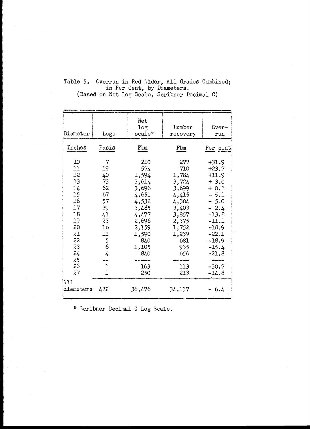| Diameter                                                                                                 | Logs                                                                                                                 | Net<br>log<br>$scale*$                                                                                                                    | Lumber<br>recovery                                                                                                                      | Cver-<br>run                                                                                                                                                                        |
|----------------------------------------------------------------------------------------------------------|----------------------------------------------------------------------------------------------------------------------|-------------------------------------------------------------------------------------------------------------------------------------------|-----------------------------------------------------------------------------------------------------------------------------------------|-------------------------------------------------------------------------------------------------------------------------------------------------------------------------------------|
| Inches                                                                                                   | Basis                                                                                                                | $F \nightharpoonup$                                                                                                                       | Fbm                                                                                                                                     | Per cent                                                                                                                                                                            |
| 10<br>11<br>12<br>13<br>14<br>15<br>16<br>17<br>18<br>19<br>20<br>21<br>22<br>23<br>24<br>25<br>26<br>27 | 7<br>19<br>40<br>73<br>62<br>67<br>57<br>39<br>41<br>23<br>16<br>11<br>5<br>6<br>4<br>$\mathbf{1}$<br>$\overline{1}$ | 210<br>574<br>1,594<br>3,614<br>3,696<br>4,651<br>4,532<br>3,485<br>4,477<br>2,696<br>2,159<br>1,590<br>840<br>1,105<br>840<br>163<br>250 | 277<br>710<br>1,784<br>3,724<br>3,699<br>4,415<br>4,304<br>3,403<br>3,857<br>2,375<br>1,752<br>1,239<br>681<br>935<br>656<br>113<br>213 | $+31.9$<br>$+23.7$<br>$+11.9$<br>$+3.0$<br>$+ 0.1$<br>$-5.1$<br>$-5.0$<br>$-2.4$<br>$-13.8$<br>$-11.1$<br>$-18.9$<br>$-22.1$<br>$-18.9$<br>$-15.4$<br>$-21.8$<br>$-30.7$<br>$-14.8$ |
| 'All<br>diameters                                                                                        | 472                                                                                                                  | 36,476                                                                                                                                    | 34,137                                                                                                                                  | $-6.4$                                                                                                                                                                              |

### Table 5. Overrun in Red Alder, All Grades Combined; in Per Cent, by Diameters. (Based on Net Log Scale, Scribner Decimal C)

\* Scribner Decimal C Log Scale.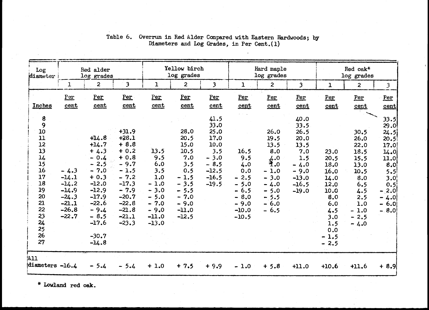| Log<br>diameter                                                                                                    | Red alder<br>log grades                                                             |                                                                                                                                                                       |                                                                                                                                                            |                                                                                                          | Yellow birch<br>log grades                                                                                                |                                                                                                  |                                                                                                   | Hard maple<br>log grades                                                                                 |                                                                                                         |                                                                                                                    | Red oak*<br>log grades                                                                                                |                                                                                                                              |  |
|--------------------------------------------------------------------------------------------------------------------|-------------------------------------------------------------------------------------|-----------------------------------------------------------------------------------------------------------------------------------------------------------------------|------------------------------------------------------------------------------------------------------------------------------------------------------------|----------------------------------------------------------------------------------------------------------|---------------------------------------------------------------------------------------------------------------------------|--------------------------------------------------------------------------------------------------|---------------------------------------------------------------------------------------------------|----------------------------------------------------------------------------------------------------------|---------------------------------------------------------------------------------------------------------|--------------------------------------------------------------------------------------------------------------------|-----------------------------------------------------------------------------------------------------------------------|------------------------------------------------------------------------------------------------------------------------------|--|
|                                                                                                                    | $\mathbf{I}$                                                                        | $\mathbf{2}$                                                                                                                                                          | $\overline{\mathbf{3}}$                                                                                                                                    | $\mathbf{1}$                                                                                             | $\overline{2}$                                                                                                            | $\overline{\mathbf{3}}$                                                                          | $\mathbf{1}$                                                                                      | $\overline{2}$                                                                                           | $\overline{\mathbf{3}}$                                                                                 | $\mathbf{1}$                                                                                                       | $\overline{2}$                                                                                                        | $\overline{3}$                                                                                                               |  |
| Inches                                                                                                             | Per<br>cent                                                                         | Per<br>cent                                                                                                                                                           | Per<br>cent                                                                                                                                                | Per<br><u>cent</u>                                                                                       | Per<br>cent                                                                                                               | Per<br>cent                                                                                      | Per<br>cent                                                                                       | Per<br>cent                                                                                              | Per<br>cent                                                                                             | Per<br>cent                                                                                                        | Per<br>cent                                                                                                           | Per<br>cent                                                                                                                  |  |
| 8<br>9<br>10<br>11<br>12<br>13<br>14<br>15<br>16<br>17<br>18<br>19<br>20<br>21<br>22<br>23<br>24<br>25<br>26<br>27 | $-4.3$<br>$-14.1$<br>$-14.2$<br>$-14.9$<br>$-24.3$<br>$-21.1$<br>$-26.8$<br>$-22.7$ | $+14.8$<br>$+14.7$<br>$+4.3$<br>$-0.4$<br>$-2.5$<br>$-7.0$<br>$+0.3$<br>$-12.0$<br>$-12.9$<br>$-17.9$<br>$-22.6$<br>$-9.4$<br>$-8.5$<br>$-17.6$<br>$-30.7$<br>$-14.8$ | $+31.9$<br>$+28.1$<br>$+8.8$<br>$+0.2$<br>$+0.8$<br>$-9.7$<br>$-1.5$<br>$-7.2$<br>$-17.3$<br>$-7.9$<br>$-20.7$<br>$-22.8$<br>$-21.8$<br>$-21.1$<br>$-23.3$ | 13.5<br>9.5<br>6.0<br>3.5<br>1.0<br>$-1.0$<br>$-3.0$<br>$-5.0$<br>$-7.0$<br>$-9.0$<br>$-11.0$<br>$-13.0$ | 28.0<br>20.5<br>15.0<br>10.5<br>7.0<br>3.5<br>0.5<br>$-1.5$<br>$-3.5$<br>$-5.5$<br>$-7.0$<br>$-9.0$<br>$-11,0$<br>$-12.5$ | 41.5<br>33.0<br>25.0<br>17.0<br>10.0<br>3.5<br>$-3.0$<br>$-8.5$<br>$-12.5$<br>$-16.5$<br>$-19.5$ | 16.5<br>9.5<br>4.0<br>0.0<br>$-2.5$<br>$-5.0$<br>$-6.5$<br>$-8.0$<br>$-9.0$<br>$-10.0$<br>$-10.5$ | 26.0<br>19.5<br>13.5<br>8.0<br>给.0<br>$-1.0$<br>$-3.0$<br>$-4.0$<br>$-5.0$<br>$-5.5$<br>$-6.0$<br>$-6.5$ | 40.0<br>33.5<br>26.5<br>20.0<br>13.5<br>7.0<br>1.5<br>$-4.0$<br>$-9.0$<br>$-13.0$<br>$-16.5$<br>$-19.0$ | 23.0<br>20.5<br>18.0<br>16.0<br>14.0<br>12.0<br>10.0<br>8.0<br>6.0<br>4.5<br>3.0<br>1.5<br>0.0<br>$-1.5$<br>$-2.5$ | 30.5<br>26.0<br>22.0<br>18.5<br>15.5<br>13.0<br>10.5<br>8.0<br>6.5<br>4.5<br>2.5<br>1.0<br>$-1.0$<br>$-2.5$<br>$-4.0$ | 33.5<br>29.0<br>24.5<br>20.5<br>17.0<br>14.0<br>11.0<br>8.0<br>5.5<br>3.0<br>0.5<br>$-2.0$<br>4.0<br>m<br>6.0<br>÷<br>$-8.0$ |  |
| A11<br>diameters -16.4                                                                                             |                                                                                     | $-5.4$                                                                                                                                                                | $-5.4$                                                                                                                                                     | $+1.0$                                                                                                   | $+7.5$                                                                                                                    | $+9.9$                                                                                           | $-1.0$                                                                                            | $+5.8$                                                                                                   | $+11.0$                                                                                                 | $+10.6$                                                                                                            | $+11.6$                                                                                                               | $+8.9$                                                                                                                       |  |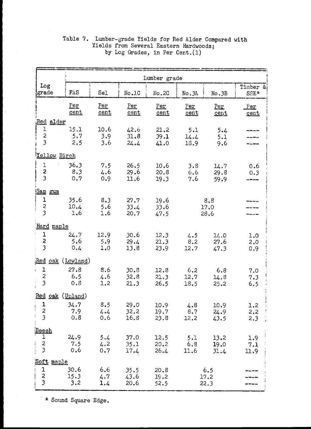|                                                                         |                     |                     |                      | Lumber grade         |                     |                      |                               |
|-------------------------------------------------------------------------|---------------------|---------------------|----------------------|----------------------|---------------------|----------------------|-------------------------------|
| Log<br>grade                                                            | FAS                 | Sel                 | No.1C                | No.2C                | No. 3A              | No.3B                | Timber &<br>SSE*              |
|                                                                         | Per<br>cent         | Per<br>cent         | Per<br>cent          | Per<br>cent          | Per<br>cent         | Per<br>cent          | Per<br>cent                   |
| Red alder<br>$\mathbf 1$<br>$\boldsymbol{2}$<br>$\overline{\mathbf{3}}$ | 15.1<br>5.7<br>2.5  | 10.6<br>3.9<br>3.6  | 42.6<br>31.8<br>24.4 | 21.2<br>39.1<br>41.0 | 5.1<br>14.4<br>18.9 | 5.4<br>5.1<br>9.6    |                               |
| Yellow Birch                                                            |                     |                     |                      |                      |                     |                      |                               |
| $\mathbf 1$<br>$\sim 2000$<br>$\frac{2}{3}$                             | 36.3<br>8,3<br>0.7  | 7.5<br>4.6<br>0.9   | 26.5<br>29.6<br>11.6 | 10.6<br>20.8<br>19.3 | 3.8<br>6,6<br>7.6   | 14.7<br>29.8<br>59.9 | 0.6<br>0.3                    |
| <u>'Sap gum</u>                                                         |                     |                     |                      |                      |                     |                      |                               |
| $\mathbf 1$<br>$\mathbf{2}$<br>$\overline{\mathbf{3}}$                  | 35.6<br>10.4<br>1.6 | 8.3<br>5.6<br>1.6   | 27.7<br>33.4<br>20.7 | 19.6<br>33.6<br>47.5 |                     | 8.8<br>17.0<br>28.6  |                               |
| Hard maple                                                              |                     |                     |                      |                      |                     |                      |                               |
| $\mathbf{1}$<br>$\frac{2}{3}$                                           | 24.7<br>5.6<br>0,4  | 12.9<br>5.9<br>1.0  | 30.6<br>29.4<br>13.8 | 12.3<br>21.3<br>23.9 | 4.5<br>8.2<br>12.7  | 14.0<br>27.6<br>47.3 | 1.0<br>2.0<br>0.9             |
| Red oak (Lowland)                                                       |                     |                     |                      |                      |                     |                      |                               |
| $\mathbf 1$<br>È.<br>$\boldsymbol{z}$<br>$\overline{\mathbf{3}}$        | 27.8<br>6, 5<br>0.8 | 8.6<br>4.6<br>1.2   | 30.8<br>32.8<br>21.3 | 12.8<br>21.3<br>26.5 | 6,2<br>12.7<br>18.5 | 6.8<br>14.8<br>25.2  | 7.0<br>7.3<br>6, 5            |
| Red oak (Upland)                                                        |                     |                     |                      |                      |                     |                      |                               |
| $\mathbf 1$<br>$\frac{2}{3}$                                            | 34.7<br>7.9<br>0, 8 | 8.5<br>4.4<br>0.6   | 29.0<br>32.2<br>16.8 | 10.9<br>19.7<br>23.8 | 4.8<br>8.7<br>12.2  | 10.9<br>24.9<br>43.5 | 1.2<br>$\cdot$<br>2, 2<br>2.3 |
| Beech<br>1<br>$\frac{2}{3}$                                             | 24.9<br>7.5<br>0,6  | 5.4<br>4.2<br>$0.7$ | 37.0<br>35.1<br>17.4 | 12.5<br>20.2<br>26.4 | 5.1<br>6.8<br>11.6  | 13.2<br>19.0<br>31.4 | 1.9<br>7.1<br>11.9            |
| <u>Soft</u><br>maple                                                    |                     |                     |                      |                      |                     |                      |                               |
| $\frac{1}{2}$                                                           | 30.6<br>15.3<br>3.2 | 6, 6<br>4.7<br>1.4  | 35.5<br>43.6<br>20.6 | 20.8<br>19.2<br>52.5 |                     | 6.5<br>17.2<br>22.3  |                               |

# Table 7. Lumber-grade Yields for Red Alder Compared with Yields from Several Eastern Hardwoods; by Log Grades, in Per Cent.(l)

\* Sound Square Edge.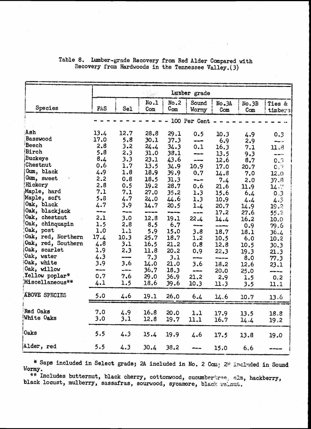|                               |             |         |      |              | Lunber grade           |       |       |                                                                                                                                                                                                                                                                                                                                                                 |
|-------------------------------|-------------|---------|------|--------------|------------------------|-------|-------|-----------------------------------------------------------------------------------------------------------------------------------------------------------------------------------------------------------------------------------------------------------------------------------------------------------------------------------------------------------------|
|                               |             |         | No.1 | No.2         | Sound                  | No.3A | No.3B | Ties &                                                                                                                                                                                                                                                                                                                                                          |
| Species                       | FAS         | Sel     | Com  | $C_{\rm om}$ | Wormy                  | Com   | Com   | timbers                                                                                                                                                                                                                                                                                                                                                         |
|                               |             |         |      |              | 100 Per Cent           |       |       |                                                                                                                                                                                                                                                                                                                                                                 |
|                               |             |         |      |              |                        |       |       |                                                                                                                                                                                                                                                                                                                                                                 |
| Ash                           | 13.4        | 12.7    | 28.8 | 29.1         | 0.5                    | 10.3  | 4.9   | 0.3                                                                                                                                                                                                                                                                                                                                                             |
| Basswood                      | 17.0        | 5.8     | 30.1 | 37.3         | ---                    | 6.9   | 2.9   | an <sub>der v</sub> o                                                                                                                                                                                                                                                                                                                                           |
| Beech                         | 2,8         | 3.2     | 24.4 | 34.3         | 0.1                    | 16.3  | 7.1   | 11.8                                                                                                                                                                                                                                                                                                                                                            |
| Birch                         | 5.8         | 2.3     | 31.0 | 38.1         | ---                    | 13.5  | 9.3   | $\frac{1}{2} \sum_{i=1}^{n} \frac{1}{2} \sum_{j=1}^{n} \frac{1}{2} \sum_{j=1}^{n} \frac{1}{2} \sum_{j=1}^{n} \frac{1}{2} \sum_{j=1}^{n} \frac{1}{2} \sum_{j=1}^{n} \frac{1}{2} \sum_{j=1}^{n} \frac{1}{2} \sum_{j=1}^{n} \frac{1}{2} \sum_{j=1}^{n} \frac{1}{2} \sum_{j=1}^{n} \frac{1}{2} \sum_{j=1}^{n} \frac{1}{2} \sum_{j=1}^{n} \frac{1}{2} \sum_{j=1}^{n$ |
| <b>Buckeye</b>                | 8.4         | 3.3     | 23.1 | 43.6         | $- - -$                | 12.6  | 8.7   | 0.3                                                                                                                                                                                                                                                                                                                                                             |
| Chestnut                      | 0.6         | 1.7     | 13.5 | 34.9         | 10.9                   | 17.0  | 20.7  | 0.7                                                                                                                                                                                                                                                                                                                                                             |
| Gum, black                    | 4.9         | 1.8     | 18.9 | 39.9         | 0.7                    | 14.8  | 7.0   | 12,0                                                                                                                                                                                                                                                                                                                                                            |
| Gum, sweet                    | 2.2         | 0.8     | 18.5 | 31.3         | the <sub>man</sub> and | 7.4   | 2.0   | 37.8                                                                                                                                                                                                                                                                                                                                                            |
| Hickory                       | 2.8         | 0.5     | 19.2 | 28.7         | 0.6                    | 21.6  | 11.9  | 14.7                                                                                                                                                                                                                                                                                                                                                            |
| Maple, hard                   | 7.1         | 7.1     | 27.0 | 35.2         | 1.3                    | 15.6  | 6.4   | 0,3                                                                                                                                                                                                                                                                                                                                                             |
| Maple, soft                   | 5.8         | 4.7     | 24.0 | 44.6         | 1.3                    | 10.9  | 4.4   | 4.3                                                                                                                                                                                                                                                                                                                                                             |
| Oak, black                    | 4.7         | 3.9     | 14.7 | 20.5         | 1.4                    | 20.7  | 14.9  | 19.2                                                                                                                                                                                                                                                                                                                                                            |
| Oak, blackjack                |             | ---     | ---- | -----        | ----                   | 17.2  | 27.6  | 55.2                                                                                                                                                                                                                                                                                                                                                            |
| Oak, chestnut                 | 2.1         | 3.0     | 12.8 | 19.1         | 22.4                   | 14.4  | 16.2  | 10.0                                                                                                                                                                                                                                                                                                                                                            |
| Oak, chinquapin               | 1.5         | 2.8     | 8.5  | 6.7          | ----                   |       | 0.9   | 79.6                                                                                                                                                                                                                                                                                                                                                            |
| Oak, post                     | 1.0         | 1.1     | 5.9  | 15.0         | 3.8                    | 18.7  | 18.1  | 36.4                                                                                                                                                                                                                                                                                                                                                            |
| Oak, red, Northern            | 17.4        | 10.3    | 25.7 | 18.7         | 1.2                    | 10.5  | 6.0   | 10.2                                                                                                                                                                                                                                                                                                                                                            |
| Oak, red, Southern            | 4.8         | 3.1     | 16.5 | 21.2         | 0.8                    | 12.8  | 10.5  | 30.3                                                                                                                                                                                                                                                                                                                                                            |
| Oak, scarlet                  | 1.9         | 2.3     | 11.8 | 20.2         | 0.9                    | 22.3  | 19.3  | 21.3                                                                                                                                                                                                                                                                                                                                                            |
| Oak, water                    | 4.3         | $- - -$ | 7.3  | 3.1          | an tran                | ----- | 8.0   | 77.3                                                                                                                                                                                                                                                                                                                                                            |
| Oak, white                    | 3.9         | 3.6     | 14.0 | 21.0         | 3.6                    | 18.2  | 12.6  | 23.1                                                                                                                                                                                                                                                                                                                                                            |
| Oak, willow<br>Yellow poplar* | ----<br>0.7 | ---     | 36.7 | 18.3         | -----                  | 20.0  | 25.0  | ------                                                                                                                                                                                                                                                                                                                                                          |
| Miscellaneous**               |             | 7.6     | 29.0 | 36.9         | 21.2                   | 2.9   | 1.5   | 0, 2                                                                                                                                                                                                                                                                                                                                                            |
|                               | 4.1         | 1.5     | 18.6 | 39.6         | 10.3                   | 11.3  | 3.5   | 11.1                                                                                                                                                                                                                                                                                                                                                            |
| <b>ABOVE SPECIES</b>          | 5.0         | 4.6     | 19.1 | 26.0         | 6.4                    | 14.6  | 10.7  | 13,6                                                                                                                                                                                                                                                                                                                                                            |
|                               |             |         |      |              |                        |       |       |                                                                                                                                                                                                                                                                                                                                                                 |
| Red Oaks                      | 7.0         |         |      |              |                        |       |       |                                                                                                                                                                                                                                                                                                                                                                 |
| White Oaks                    | 3.0         | 4.9     | 16.8 | 20.0         | 1.1                    | 17.9  | 13.5  | 18.8                                                                                                                                                                                                                                                                                                                                                            |
|                               |             | 3.1     | 12.8 | 19.7         | 11.1                   | 16.7  | 14.4  | 19,2                                                                                                                                                                                                                                                                                                                                                            |
| <b>Oaks</b>                   | 5.5         | 4.3     | 15.4 |              |                        |       |       |                                                                                                                                                                                                                                                                                                                                                                 |
|                               |             |         |      | 19.9         | 4.6                    | 17.5  | 13.8  | 19.0                                                                                                                                                                                                                                                                                                                                                            |
| Alder, red                    | 5.5         | 4.3     | 30.4 | 38.2         |                        | 15.0  | 6.6   |                                                                                                                                                                                                                                                                                                                                                                 |

# Table 8. Lumber-grade Recovery from Red Alder Compared with Recovery from Hardwoods in the Tennessee Valley.(3)

\* Saps included in Select grade; 2A included in No. 2 Com; 2B included in Sound Wormy.

\*\* Includes butternut, black cherry, cottonwood, cucumbertree, elm, hackberry, black locust, mulberry, sassafras, sourwood, sycamore, black wainut.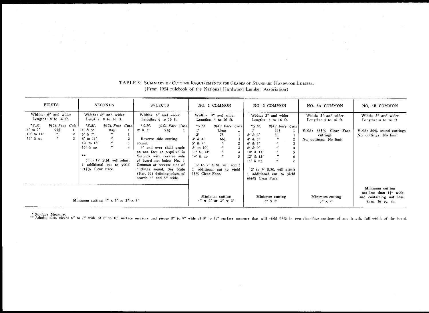| <b>FIRSTS</b>                                                                                                                                                                      | <b>SECONDS</b>                                                                                                                                                                                                                                                                                                                                             | <b>SELECTS</b>                                                                                                                                                                                                                                                                                                                                                         | NO. 1 COMMON                                                                                                                                                                                                                                                                                                               | NO. 2 COMMON                                                                                                                                                                                                                                                                                                                                                                                         | NO. 3A COMMON                                                                                               | NO. 3B COMMON                                                                                        |
|------------------------------------------------------------------------------------------------------------------------------------------------------------------------------------|------------------------------------------------------------------------------------------------------------------------------------------------------------------------------------------------------------------------------------------------------------------------------------------------------------------------------------------------------------|------------------------------------------------------------------------------------------------------------------------------------------------------------------------------------------------------------------------------------------------------------------------------------------------------------------------------------------------------------------------|----------------------------------------------------------------------------------------------------------------------------------------------------------------------------------------------------------------------------------------------------------------------------------------------------------------------------|------------------------------------------------------------------------------------------------------------------------------------------------------------------------------------------------------------------------------------------------------------------------------------------------------------------------------------------------------------------------------------------------------|-------------------------------------------------------------------------------------------------------------|------------------------------------------------------------------------------------------------------|
| Widths: 6" and wider<br>Lengths: 8 to 16 ft.<br>$*$ S.M.<br>%Cl. Face Cuts<br>$4'$ to $9'$<br>913<br>10' to 14'<br>$^{\prime\prime}$<br>2<br>$\boldsymbol{''}$<br>$15'$ & up<br>-3 | Widths: 6" and wider<br>Lengths: 8 to 16 ft.<br>$*$ <i>S.M.</i><br>%Cl. Face Cuts<br>$4'$ & 5'<br>$83_{\rm B}$<br>$\boldsymbol{r}$<br>$6'$ & $7'$<br>$8'$ to $11'$<br>$^{\prime\prime}$<br>$\boldsymbol{r}$<br>$12'$ to $15'$<br>$\boldsymbol{r}$<br>$16'$ & up<br>$***$<br>$6'$ to $15'$ S.M. will admit<br>1 additional cut to vield<br>913% Clear Face. | Widths: 4" and wider<br>Lengths: 6 to 16 ft.<br>$*$ S.M.<br>%Cl. Face Cuts<br>$2'$ & $3'$<br>913<br>Reverse side cutting<br>sound.<br>4' and over shall grade<br>on one face as required in<br>Seconds with reverse side<br>of board not below No. 1<br>Common or reverse side of<br>cuttings sound. See Rule<br>(Par. 69) defining edges of<br>boards 4" and 5" wide. | Widths: 3" and wider<br>Lengths: 4 to 16 ft.<br>$*$ <i>S.M.</i><br>%Cl. Face Cuts<br>Clear<br>$2^{\prime}$<br>75<br>$3'$ & 4'<br>663<br>$5'$ & $7'$<br>$8'$ to $10'$<br>$11'$ to $13'$<br>$^{\prime\prime}$<br>$14'$ & up<br>$^{\prime\prime}$<br>3' to 7' S.M. will admit<br>1 additional cut to vield<br>75% Clear Face. | Width: 3" and wider<br>Lengths: 4 to 16 ft.<br>$*$ S.M.<br>%Cl. Face Cuts<br>1'<br>66}<br>$2'$ & $3'$<br>50<br>$^{\prime\prime}$<br>$4'$ & 5'<br>$6'$ & $7'$<br>$8'$ & 9'<br>$^{\prime\prime}$<br>$\boldsymbol{r}$<br>$10'$ & $11'$<br>5<br>$^{\prime\prime}$<br>$12'$ & $13'$<br>6<br>n<br>$14'$ & up<br>$\mathcal{I}$<br>2' to 7' S.M. will admit<br>1 additional cut to yield<br>663% Clear Face. | Width: 3" and wider<br>Lengths: 4 to 16 ft.<br>Yield: 333% Clear Face<br>cuttings<br>No. cuttings: No limit | Width: 3" and wider<br>Lengths: 4 to 16 ft.<br>Yield: 25% sound cuttings<br>No. cuttings: No limit   |
| * Surface Measure.                                                                                                                                                                 | Minimum cutting $4'' \times 5'$ or $3'' \times 7'$                                                                                                                                                                                                                                                                                                         | ** Admits also, pieces 6" to 7" wide of 6' to 10' surface measure and pieces 8" to 9" wide of 8' to 12' surface measure that will yield 97% in two clear-face cuttings of any length, full width of the board                                                                                                                                                          | Minimum cutting<br>$4'' \times 2'$ or $3'' \times 3'$                                                                                                                                                                                                                                                                      | Minimum cutting<br>$3'' \times 2'$                                                                                                                                                                                                                                                                                                                                                                   | Minimum cutting<br>$3'' \times 2'$                                                                          | Minimum cutting<br>not less than $1\frac{1}{2}$ " wide<br>and containing not less<br>than 36 sq. in. |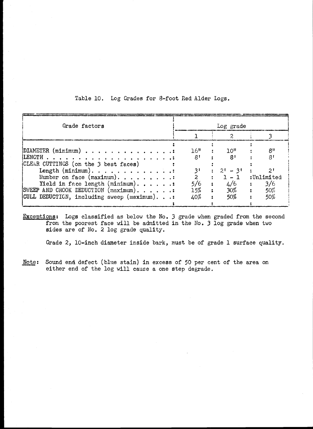| Grade factors                                                                     |                | Log grade                                                             |                                |
|-----------------------------------------------------------------------------------|----------------|-----------------------------------------------------------------------|--------------------------------|
|                                                                                   |                |                                                                       |                                |
| DIAMETER $(\text{minimum})$                                                       | 16"            | 10 <sup>ii</sup>                                                      | $R^{\prime\prime}$             |
|                                                                                   | 8 <sup>t</sup> | 8'                                                                    | ्छ ।                           |
| CLEAR CUTTINGS (on the 3 best faces)<br>Length $(\text{minimum})$ .               | 3'             | $2! - 3!$                                                             |                                |
| Number on face $(\text{maximum})$ .                                               | $\overline{2}$ | $\begin{array}{ccc} \n\end{array}$ $\begin{array}{ccc} \n\end{array}$ | :Unlimited                     |
| Yield in face length $(\text{minimum})$<br>SWEEP AND CROOK DEDUCTION (maximum). : | 5/6<br>15%     | 4/6<br>$\ddot{\phantom{a}}$<br>$30\%$<br>$\mathbf{z}$                 | 3/6<br>50%<br>$\ddot{\bullet}$ |
| CULL DEDUCTION, including sweep (maximum).:                                       | 40%            | 50%                                                                   | 50%                            |
|                                                                                   |                |                                                                       |                                |

Table 10. Log Grades for 8-foot Red Alder Logs.

Exceptions: Logs classified as below the No. 3 grade when graded from the second from the poorest face will be admitted in the No, 3 log grade when two sides are of No. 2 log grade quality.

Grade 2, 10-inch diameter inside bark, must be of grade 1 surface quality.

Note: Sound end defect (blue stain) in excess of 50 per cent of the area on either end of the log will cause a one step degrade.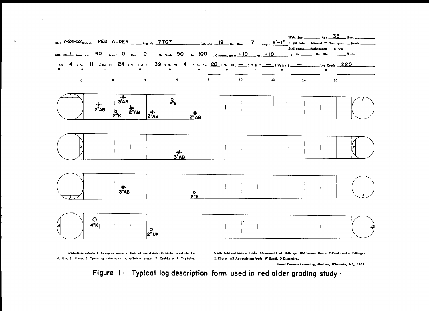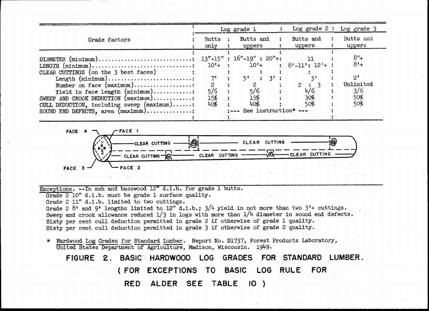|                                                                                                                                                                                                                                                                                                                                                                                                                                      |                                                             | Log grade 1                                                                                                        | Log grade $2:$                                                | Log grade 3                                                        |
|--------------------------------------------------------------------------------------------------------------------------------------------------------------------------------------------------------------------------------------------------------------------------------------------------------------------------------------------------------------------------------------------------------------------------------------|-------------------------------------------------------------|--------------------------------------------------------------------------------------------------------------------|---------------------------------------------------------------|--------------------------------------------------------------------|
| Grade factors                                                                                                                                                                                                                                                                                                                                                                                                                        | <b>Butts</b><br>only                                        | Butts and<br>uppers                                                                                                | Butts and<br>uppers                                           | Butts and<br>uppers                                                |
| $\text{DIAMETER (minimum)} \dots \dots \dots \dots \dots \dots \dots \dots \dots \dots$<br>$LENGTH$ (minimum)<br>CLEAR CUTTINGS (on the 3 best faces)<br>Length $(minnum)$<br>Number on face (maximum):<br>Yield in face length $(\text{minimum})$ :<br>SWEEP AND CROOK DEDUCTION $(\text{maximum}) \dots \dots \dots$<br>CULL DEDUCTION, including sweep $(\text{maximum}) \dots$ :<br>SOUND END DEFECTS, area $(\text{maximum})$ : | $10'+$<br>$7^{\prime}$<br>$\mathbf{2}$<br>5/6<br>15%<br>40% | $13"$ -15" : $16"$ -19" : 20"+:<br>$10 +$<br>5 <sup>t</sup><br>$3^1$<br>2<br>5/6<br>15%<br>40%<br>See instruction* | 11.<br>$8'$ -11': 12'+ :<br>$\mathbf{P}$<br>4/6<br>30%<br>50% | $8"+$<br>$8 +$<br>2 <sup>t</sup><br>Unlimited<br>3/6<br>50%<br>50% |
| -FACE I<br>FACE 4<br>-CLEAR CUTTING<br>CLEAR CUTTING-O<br>FACE 2<br><b>FACE</b>                                                                                                                                                                                                                                                                                                                                                      | இ<br>CLEAR CUTTING                                          | CLEAR CUTTING<br>O                                                                                                 | -CLEAR CUTTING                                                |                                                                    |
| Exceptions. -- In ash and basswood 12" d.i.b. for grade 1 butts.<br>Grade 2 10" d.i.b. must be grade 1 surface quality.                                                                                                                                                                                                                                                                                                              |                                                             |                                                                                                                    |                                                               |                                                                    |



Grade 2 10" d.i.b. must be grade 1 surface quality.<br>Grade 2 11" d.i.b. limited to two cuttings.<br>Grade 2 8' and 9' lengths limited to 12" d.i.b.;  $3/4$  yield if<br>Sweep and crook allowance reduced  $1/3$  in logs with more tha Grade 2 11" d.i.b. limited to two cuttings.<br>Grade 2 8' and 9' lengths limited to 12" d.i.b.; 3<br>Sweep and crook allowance reduced  $1/3$  in logs with<br>Sixty per cent cull deduction permitted in grade 3 Grade 2 8' and 9' lengths limited to 12" d.i.b.;  $3/4$  yield in not more than two 3'+ cuttings.<br>Sweep and crook allowance reduced  $1/3$  in logs with more than  $1/4$  diameter in sound end defect<br>Sixty per cent cull deducti Sweep and crook allowance reduced  $1/3$  in logs with more than  $1/4$  diameter in sound end defects.<br>Sixty per cent cull deduction permitted in grade 2 if otherwise of grade 2 quality.<br> $\frac{1}{3}$  Hardwood Log Grades for Sta Sixty per cent cull deduction permitted in grade 3 if otherwise of grade 2 quality<br>\* Hardwood Log Grades for Standard Lumber. Report No. D1737, Forest Products Lab<br>United States Department of Agriculture, Madison, Wisconsi \* Hardwood Log Grades for Standard Lumber. Report No. D1737, Forest Products Laboratory<br>United States Department of Agriculture, Madison, Wisconsin. 1949.<br>FIGURE 2. BASIC HARDWOOD LOG GRADES FOR STANDARD LI<br>(FOR EXCEPTIONS United States Department of Agriculture, Madison, Wisconsin. 1949.<br>FIGURE 2. BASIC HARDWOOD LOG GRADES FOR STANDARD<br>(FOR EXCEPTIONS TO BASIC LOG RULE FOR<br>RED ALDER SEE TABLE 10) E 2. BASIC HARDWOOD LOG<br>
(FOR EXCEPTIONS TO<br>
RED ALDER SEE BASIC HARDWOOD LOG GRADES FOR STANDARD LUMBER.<br>(FOR EXCEPTIONS TO BASIC LOG RULE FOR<br>RED ALDER SEE TABLE 10) BASIC LOG RULE FOR RED ALDER SEE TABLE

10 )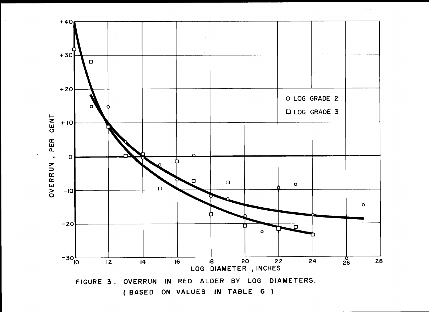